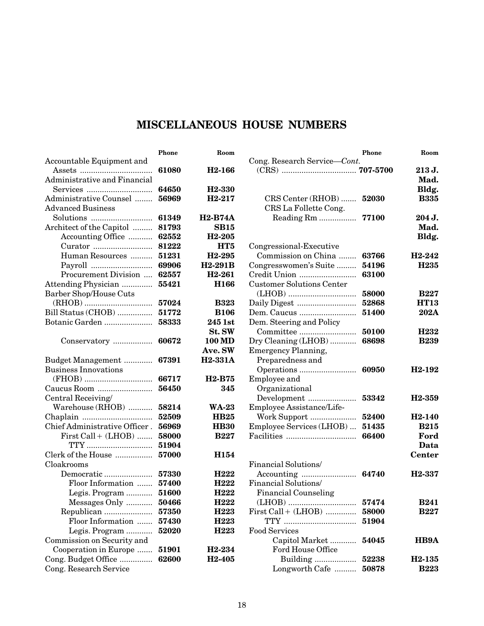|                               | Phone | Room                            |  |
|-------------------------------|-------|---------------------------------|--|
| Accountable Equipment and     |       |                                 |  |
|                               | 61080 | H <sub>2</sub> -166             |  |
| Administrative and Financial  |       |                                 |  |
|                               | 64650 | H <sub>2</sub> -330             |  |
| Administrative Counsel        | 56969 | H <sub>2</sub> -217             |  |
| <b>Advanced Business</b>      |       |                                 |  |
|                               | 61349 | <b>H2-B74A</b>                  |  |
| Architect of the Capitol      | 81793 | <b>SB15</b>                     |  |
| Accounting Office             | 62552 | H <sub>2</sub> -205             |  |
| Curator                       | 81222 | HT <sub>5</sub>                 |  |
| Human Resources               | 51231 | H <sub>2</sub> -295             |  |
|                               | 69906 | H2-291B                         |  |
| Procurement Division          | 62557 | H <sub>2</sub> -261             |  |
| Attending Physician           | 55421 | H166                            |  |
| Barber Shop/House Cuts        |       |                                 |  |
|                               | 57024 | <b>B323</b>                     |  |
| Bill Status (CHOB)            | 51772 | <b>B106</b>                     |  |
| Botanic Garden                | 58333 | 245 1st                         |  |
|                               |       | St. SW                          |  |
| Conservatory                  | 60672 | <b>100 MD</b>                   |  |
|                               |       | <b>Ave. SW</b>                  |  |
| Budget Management             | 67391 | <b>H2-331A</b>                  |  |
| <b>Business Innovations</b>   |       |                                 |  |
|                               | 66717 | H <sub>2</sub> -B <sub>75</sub> |  |
| Caucus Room                   | 56450 | 345                             |  |
| Central Receiving/            |       |                                 |  |
| Warehouse (RHOB)              | 58214 | <b>WA-23</b>                    |  |
|                               | 52509 | <b>HB25</b>                     |  |
| Chief Administrative Officer. | 56969 | <b>HB30</b>                     |  |
| First Call + (LHOB)           | 58000 | <b>B227</b>                     |  |
| TTY                           | 51904 |                                 |  |
| Clerk of the House            | 57000 | H <sub>154</sub>                |  |
| Cloakrooms                    |       |                                 |  |
| Democratic                    | 57330 | H <sub>222</sub>                |  |
| Floor Information             | 57400 | H <sub>222</sub>                |  |
| Legis. Program                | 51600 | H <sub>222</sub>                |  |
| Messages Only                 | 50466 | H <sub>222</sub>                |  |
| Republican                    | 57350 | H <sub>223</sub>                |  |
| Floor Information             | 57430 | H <sub>223</sub>                |  |
| Legis. Program                | 52020 | H <sub>223</sub>                |  |
| Commission on Security and    |       |                                 |  |
| Cooperation in Europe         | 51901 | H <sub>2</sub> -234             |  |
| Cong. Budget Office           | 62600 | H <sub>2</sub> -405             |  |
| Cong. Research Service        |       |                                 |  |

|                                                   | <b>Phone</b> | Room                |
|---------------------------------------------------|--------------|---------------------|
| Cong. Research Service-Cont.                      |              | 213 J.<br>Mad.      |
|                                                   |              | Bldg.               |
| CRS Center (RHOB)  52030<br>CRS La Follette Cong. |              | <b>B335</b>         |
| Reading Rm  77100                                 |              | 204 J.              |
|                                                   |              | Mad.                |
|                                                   |              | Bldg.               |
| Congressional-Executive                           |              |                     |
| Commission on China                               | 63766        | H <sub>2</sub> -242 |
| Congresswomen's Suite                             | 54196        | H <sub>235</sub>    |
| Credit Union                                      | 63100        |                     |
| <b>Customer Solutions Center</b>                  |              |                     |
|                                                   | 58000        | <b>B227</b>         |
|                                                   | 52868        | <b>HT13</b>         |
| Dem. Caucus                                       | 51400        | 202A                |
| Dem. Steering and Policy                          |              |                     |
|                                                   | 50100        | H <sub>232</sub>    |
| Dry Cleaning (LHOB)                               | 68698        | <b>B239</b>         |
| <b>Emergency Planning,</b>                        |              |                     |
| Preparedness and                                  |              |                     |
|                                                   |              | H <sub>2</sub> -192 |
| Employee and                                      |              |                     |
| Organizational                                    |              |                     |
| Development                                       | 53342        | H <sub>2</sub> -359 |
| Employee Assistance/Life-                         |              |                     |
| Work Support                                      | 52400        | H <sub>2</sub> -140 |
| Employee Services (LHOB)                          | 51435        | <b>B215</b>         |
|                                                   | 66400        | Ford                |
|                                                   |              | Data                |
|                                                   |              | <b>Center</b>       |
| Financial Solutions/                              |              |                     |
|                                                   |              | H <sub>2</sub> -337 |
| Financial Solutions/                              |              |                     |
| <b>Financial Counseling</b>                       |              |                     |
| $(LHOB) \hspace{0.05cm}$                          | 57474        | <b>B241</b>         |
| $First Call + (LHOB)$                             | 58000        | <b>B227</b>         |
|                                                   | 51904        |                     |
| <b>Food Services</b>                              |              | HB9A                |
| Capitol Market<br>Ford House Office               | 54045        |                     |
|                                                   | 52238        | H <sub>2</sub> -135 |
| Longworth Cafe  50878                             |              | <b>B223</b>         |
|                                                   |              |                     |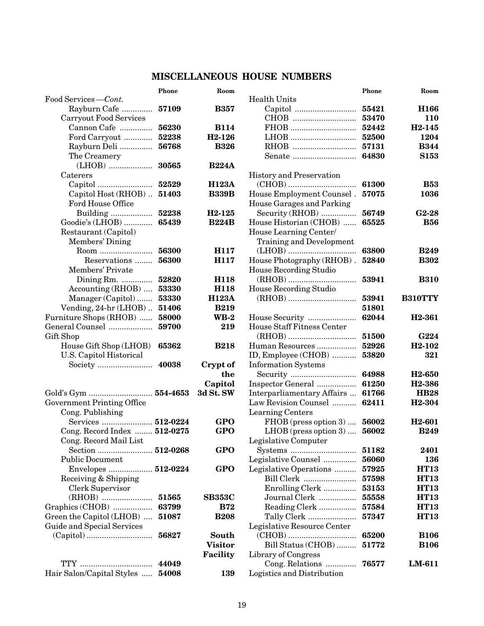|                                                       | <b>Phone</b> | Room                     |
|-------------------------------------------------------|--------------|--------------------------|
| Food Services - Cont.                                 |              |                          |
| Rayburn Cafe                                          | 57109        | <b>B357</b>              |
| Carryout Food Services                                |              |                          |
| Cannon Cafe                                           | 56230        | <b>B114</b>              |
| Ford Carryout                                         | 52238        | H <sub>2</sub> -126      |
| Rayburn Deli                                          | 56768        | <b>B326</b>              |
| The Creamery                                          |              |                          |
|                                                       | 30565        | <b>B224A</b>             |
| $\operatorname{Caterers}$                             |              |                          |
|                                                       | 52529        | <b>H123A</b>             |
| Capitol Host (RHOB)                                   | 51403        | <b>B339B</b>             |
| <b>Ford House Office</b>                              |              |                          |
| Building                                              | 52238        | H <sub>2</sub> -125      |
| Goodie's (LHOB)                                       | 65439        | <b>B224B</b>             |
| Restaurant (Capitol)                                  |              |                          |
| Members' Dining                                       |              |                          |
| Room                                                  | 56300        | H117                     |
| Reservations                                          | 56300        | H117                     |
| Members' Private                                      |              |                          |
| Dining $Rm$ .                                         | 52820        | H <sub>118</sub>         |
| Accounting (RHOB)                                     | 53330        | H118                     |
| Manager (Capitol)                                     | 53330        | <b>H123A</b>             |
| Vending, 24-hr (LHOB)                                 | 51406        | <b>B219</b>              |
| Furniture Shops (RHOB)                                | 58000        | $\mathbf{W}\mathbf{B-2}$ |
| General Counsel                                       | 59700        | 219                      |
| Gift Shop                                             |              |                          |
| House Gift Shop (LHOB)                                | 65362        | <b>B218</b>              |
| U.S. Capitol Historical                               |              |                          |
| Society                                               | 40038        | Crypt of                 |
|                                                       |              | the                      |
| Gold's Gym  554-4653                                  |              | Capitol                  |
|                                                       |              | 3d St. SW                |
| <b>Government Printing Office</b><br>Cong. Publishing |              |                          |
|                                                       |              | GPO                      |
| Services  512-0224<br>Cong. Record Index  512-0275    |              | GPO                      |
| Cong. Record Mail List                                |              |                          |
| Section  512-0268                                     |              | GPO                      |
| <b>Public Document</b>                                |              |                          |
| Envelopes  512-0224                                   |              | GPO                      |
| Receiving & Shipping                                  |              |                          |
| Clerk Supervisor                                      |              |                          |
|                                                       | 51565        | <b>SB353C</b>            |
| Graphics (CHOB)                                       | 63799        | <b>B72</b>               |
| Green the Capitol (LHOB)                              | 51087        | <b>B208</b>              |
| Guide and Special Services                            |              |                          |
|                                                       | 56827        | South                    |
|                                                       |              | Visitor                  |
|                                                       |              | Facility                 |
| $TTY$                                                 | 44049        |                          |
| Hair Salon/Capital Styles                             | 54008        | 139                      |
|                                                       |              |                          |

| Phone   | Room                |                                 | <b>Phone</b> | Room                            |
|---------|---------------------|---------------------------------|--------------|---------------------------------|
|         |                     | <b>Health Units</b>             |              |                                 |
| 57109   | <b>B357</b>         |                                 | 55421        | H166                            |
|         |                     | CHOB                            | 53470        | 110                             |
| 56230   | <b>B114</b>         | FHOB                            | 52442        | H <sub>2</sub> -145             |
| 52238   | H <sub>2</sub> -126 | LHOB                            | 52500        | 1204                            |
| 56768   | <b>B326</b>         | RHOB                            | 57131        | <b>B344</b>                     |
|         |                     | Senate                          | 64830        | <b>S153</b>                     |
| 30565   | <b>B224A</b>        |                                 |              |                                 |
|         |                     | <b>History and Preservation</b> |              |                                 |
| 52529   | <b>H123A</b>        |                                 | 61300        | <b>B53</b>                      |
| 51403   | <b>B339B</b>        | House Employment Counsel.       | 57075        | 1036                            |
|         |                     | House Garages and Parking       |              |                                 |
| 52238   | H <sub>2</sub> -125 | Security (RHOB)                 | 56749        | $G2-28$                         |
| 65439   | <b>B224B</b>        | House Historian (CHOB)          | 65525        | <b>B56</b>                      |
|         |                     | House Learning Center/          |              |                                 |
|         |                     | <b>Training and Development</b> |              |                                 |
| 56300   | H117                |                                 | 63800        | <b>B249</b>                     |
| 56300   | H117                | House Photography (RHOB).       | 52840        | <b>B302</b>                     |
|         |                     | House Recording Studio          |              |                                 |
| 52820   | H118                |                                 | 53941        | <b>B310</b>                     |
| 53330   | H118                | <b>House Recording Studio</b>   |              |                                 |
| 53330   | <b>H123A</b>        |                                 | 53941        | <b>B310TTY</b>                  |
| 51406   | <b>B219</b>         |                                 | 51801        |                                 |
| 58000   | <b>WB-2</b>         | House Security                  | 62044        | H <sub>2</sub> -361             |
| 59700   | 219                 | House Staff Fitness Center      |              |                                 |
|         |                     |                                 | 51500        | <b>G224</b>                     |
|         |                     |                                 |              |                                 |
| 65362   | <b>B218</b>         | Human Resources                 | 52926        | H <sub>2</sub> -10 <sub>2</sub> |
|         |                     | ID, Employee (CHOB)             | 53820        | 321                             |
| 40038   | Crypt of            | <b>Information Systems</b>      |              |                                 |
|         | the                 |                                 | 64988        | H <sub>2</sub> -650             |
|         | Capitol             | Inspector General               | 61250        | H <sub>2</sub> -386             |
| 54-4653 | 3d St. SW           | Interparliamentary Affairs      | 61766        | <b>HB28</b>                     |
|         |                     | Law Revision Counsel            | 62411        | H <sub>2</sub> -304             |
|         |                     | <b>Learning Centers</b>         |              |                                 |
| 12-0224 | <b>GPO</b>          | $FHOB$ (press option 3)         | 56002        | H <sub>2</sub> -601             |
| 12-0275 | GPO                 | $LHOB$ (press option 3)         | 56002        | <b>B249</b>                     |
|         |                     | Legislative Computer            |              |                                 |
| 12-0268 | <b>GPO</b>          |                                 | 51182        | 2401                            |
|         |                     | Legislative Counsel             | 56060        | 136                             |
| 12-0224 | <b>GPO</b>          | Legislative Operations          | 57925        | <b>HT13</b>                     |
|         |                     | Bill Clerk                      | 57598        | <b>HT13</b>                     |
|         |                     | Enrolling Clerk                 | 53153        | <b>HT13</b>                     |
| 51565   | <b>SB353C</b>       | Journal Clerk                   | 55558        | <b>HT13</b>                     |
| 63799   | <b>B72</b>          | Reading Clerk                   | 57584        | <b>HT13</b>                     |
| 51087   | <b>B208</b>         | Tally Clerk                     | 57347        | <b>HT13</b>                     |
|         |                     | Legislative Resource Center     |              |                                 |
| 56827   | South               |                                 | 65200        | <b>B106</b>                     |
|         | <b>Visitor</b>      | Bill Status (CHOB)              | 51772        | <b>B106</b>                     |
|         | Facility            | Library of Congress             |              |                                 |
| 44049   |                     | Cong. Relations                 | 76577        | LM-611                          |
| 54008   | 139                 | Logistics and Distribution      |              |                                 |
|         |                     |                                 |              |                                 |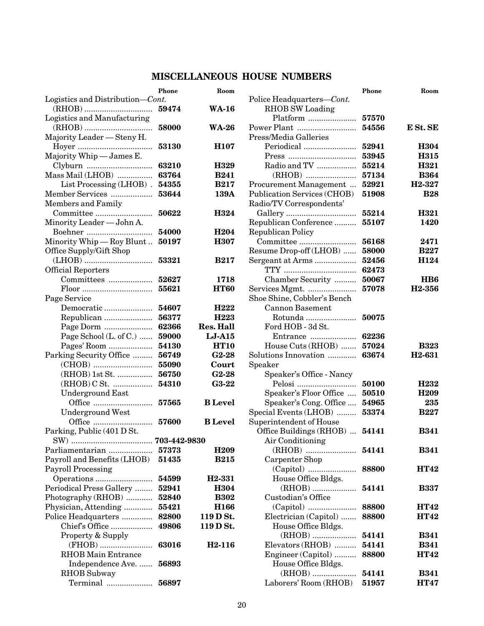|                                   | Phone        | Room                |
|-----------------------------------|--------------|---------------------|
| Logistics and Distribution-Cont.  |              |                     |
|                                   | 59474        | <b>WA-16</b>        |
| Logistics and Manufacturing       |              |                     |
|                                   |              | <b>WA-26</b>        |
| Majority Leader - Steny H.        |              |                     |
|                                   | 53130        | <b>H107</b>         |
| Majority Whip - James E.          |              |                     |
| Clyburn  63210                    |              | H329                |
| Mass Mail (LHOB)  63764           |              | <b>B241</b>         |
| List Processing (LHOB). 54355     |              | <b>B217</b>         |
| Member Services  53644            |              | 139A                |
| Members and Family                |              |                     |
|                                   | 50622        | H324                |
| Minority Leader - John A.         |              |                     |
|                                   | 54000        | H <sub>204</sub>    |
| Minority Whip $-$ Roy Blunt       | 50197        | <b>H307</b>         |
| Office Supply/Gift Shop           |              |                     |
|                                   |              | <b>B217</b>         |
| Official Reporters                |              |                     |
| Committees                        | 52627        | 1718                |
|                                   | 55621        | <b>HT60</b>         |
| Page Service                      |              |                     |
| Democratic                        | 54607        | H <sub>222</sub>    |
| Republican                        | 56377        | H <sub>223</sub>    |
| Page Dorm                         | 62366        | <b>Res. Hall</b>    |
| Page School (L. of C.)            | 59000        | $LJ-415$            |
| Pages' Room  54130                |              | <b>HT10</b>         |
| Parking Security Office  56749    |              | $G2-28$             |
|                                   |              | Court               |
| (RHOB) 1st St.  56750             |              | $G2-28$             |
| (RHOB) C St.  54310               |              | <b>G3-22</b>        |
| <b>Underground East</b>           |              |                     |
|                                   |              | <b>B</b> Level      |
| <b>Underground West</b>           |              |                     |
|                                   |              | <b>B</b> Level      |
| Parking, Public (401 D St.        |              |                     |
| $SW$ ).                           | 703-442-9830 |                     |
|                                   |              | H <sub>209</sub>    |
| Payroll and Benefits (LHOB) 51435 |              | <b>B215</b>         |
| Payroll Processing                |              |                     |
|                                   | 54599        | H <sub>2</sub> -331 |
| Periodical Press Gallery          | 52941        | <b>H304</b>         |
| Photography (RHOB)                | 52840        | <b>B302</b>         |
| Physician, Attending              | 55421        | H166                |
| Police Headquarters               | 82800        | 119 D St.           |
| Chief's Office                    | 49806        | 119 D St.           |
| Property & Supply                 |              |                     |
| (FHOB)                            | 63016        | H <sub>2</sub> -116 |
| <b>RHOB</b> Main Entrance         |              |                     |
| Independence Ave                  | 56893        |                     |
| RHOB Subway                       |              |                     |
| Terminal                          | 56897        |                     |
|                                   |              |                     |

| Phone              | Room                |                                                               | Phone | Room                |
|--------------------|---------------------|---------------------------------------------------------------|-------|---------------------|
| rt.                |                     | Police Headquarters-Cont.                                     |       |                     |
| 59474              | <b>WA-16</b>        | RHOB SW Loading                                               |       |                     |
|                    |                     | Platform                                                      | 57570 |                     |
| <b>58000</b>       | <b>WA-26</b>        | Power Plant                                                   | 54556 | E St. SE            |
|                    |                     | Press/Media Galleries                                         |       |                     |
| 53130              | H <sub>107</sub>    | Periodical                                                    | 52941 | H304                |
|                    |                     | $Press \dots \dots \dots \dots \dots \dots \dots \dots \dots$ | 53945 | H315                |
| 63210              | H329                | Radio and TV                                                  | 55214 | H321                |
| 63764              | <b>B241</b>         |                                                               | 57134 | <b>B364</b>         |
| 54355              | <b>B217</b>         | Procurement Management                                        | 52921 | H <sub>2</sub> -327 |
| 53644              | 139A                | Publication Services (CHOB)                                   | 51908 | <b>B28</b>          |
|                    |                     | Radio/TV Correspondents'                                      |       |                     |
| 50622              | H324                |                                                               | 55214 | H321                |
|                    |                     | Republican Conference                                         | 55107 | 1420                |
| 54000              | H <sub>204</sub>    | <b>Republican Policy</b>                                      |       |                     |
| 50197              | <b>H307</b>         | Committee                                                     | 56168 | 2471                |
|                    |                     | Resume Drop-off (LHOB)                                        | 58000 | <b>B227</b>         |
| 53321              | <b>B217</b>         | Sergeant at Arms                                              | 52456 | H124                |
|                    |                     |                                                               | 62473 |                     |
| 52627              | 1718                | Chamber Security                                              | 50067 | H <sub>B6</sub>     |
| 55621              | <b>HT60</b>         |                                                               | 57078 | H <sub>2</sub> -356 |
|                    |                     | Services Mgmt.                                                |       |                     |
|                    |                     | Shoe Shine, Cobbler's Bench                                   |       |                     |
| 54607              | H <sub>222</sub>    | <b>Cannon Basement</b>                                        |       |                     |
| 56377              | H <sub>223</sub>    | Rotunda                                                       | 50075 |                     |
| 62366              | <b>Res. Hall</b>    | Ford HOB - 3d St.                                             |       |                     |
| 59000              | $LJ-415$            | Entrance                                                      | 62236 |                     |
| 54130              | <b>HT10</b>         | House Cuts (RHOB)                                             | 57024 | <b>B323</b>         |
| 56749              | $G2-28$             | Solutions Innovation                                          | 63674 | H <sub>2</sub> -631 |
| 55090              | Court               | Speaker                                                       |       |                     |
| 56750              | $G2-28$             | Speaker's Office - Nancy                                      |       |                     |
| 54310              | $G3-22$             |                                                               | 50100 | H <sub>232</sub>    |
|                    |                     | Speaker's Floor Office                                        | 50510 | H <sub>209</sub>    |
| 57565              | <b>B</b> Level      | Speaker's Cong. Office                                        | 54965 | 235                 |
|                    |                     | Special Events (LHOB)                                         | 53374 | <b>B227</b>         |
| 57600              | <b>B</b> Level      | Superintendent of House                                       |       |                     |
|                    |                     | Office Buildings (RHOB)  54141                                |       | <b>B341</b>         |
| <b>03-442-9830</b> |                     | Air Conditioning                                              |       |                     |
| ${\bf 57373}$      | H <sub>209</sub>    |                                                               | 54141 | <b>B341</b>         |
| 51435              | <b>B215</b>         | Carpenter Shop                                                |       |                     |
|                    |                     |                                                               | 88800 | <b>HT42</b>         |
| 54599              | H <sub>2</sub> -331 | House Office Bldgs.                                           |       |                     |
| 52941              | H304                |                                                               | 54141 | <b>B337</b>         |
| 52840              | <b>B302</b>         | Custodian's Office                                            |       |                     |
| 55421              | H <sub>166</sub>    |                                                               | 88800 | <b>HT42</b>         |
| <b>82800</b>       | 119 D St.           | Electrician (Capitol)                                         | 88800 | <b>HT42</b>         |
| 49806              | 119 D St.           | House Office Bldgs.                                           |       |                     |
|                    |                     |                                                               | 54141 | <b>B341</b>         |
| 63016              | H <sub>2</sub> -116 | Elevators (RHOB)                                              | 54141 | <b>B341</b>         |
|                    |                     | Engineer (Capitol)                                            | 88800 | <b>HT42</b>         |
| 56893              |                     | House Office Bldgs.                                           |       |                     |
|                    |                     |                                                               | 54141 | <b>B341</b>         |
| 56897              |                     | Laborers' Room (RHOB)                                         | 51957 | <b>HT47</b>         |
|                    |                     |                                                               |       |                     |